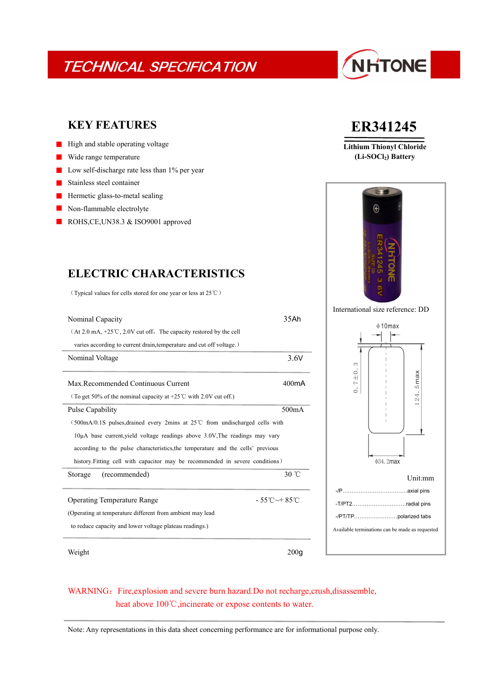## TECHNICAL SPECIFICATION

# NHTONE

### **KEY FEATURES**

- $\blacksquare$  High and stable operating voltage
- Wide range temperature  $\blacksquare$
- Low self-discharge rate less than 1% per year
- Stainless steel container
- Hermetic glass-to-metal sealing  $\blacksquare$
- Non-flammable electrolyte
- ROHS, CE, UN38.3 & ISO 9001 approved

### **ELECTRIC CHARACTERISTICS**

(Typical values for cells stored for one year or less at 25℃)

| Nominal Capacity                                                                    | 35Ah                                    |                                                 |                          |
|-------------------------------------------------------------------------------------|-----------------------------------------|-------------------------------------------------|--------------------------|
| (At 2.0 mA, +25°C, 2.0V cut off, The capacity restored by the cell                  |                                         | $\phi$ 10max                                    |                          |
| varies according to current drain, temperature and cut off voltage.)                |                                         |                                                 |                          |
| Nominal Voltage                                                                     | 3.6V                                    | 3                                               |                          |
|                                                                                     |                                         | $\frac{0}{1}$                                   | ×                        |
| Max.Recommended Continuous Current                                                  | 400 <sub>m</sub> A                      | $\sim$<br>$\circ$                               | ma<br>S                  |
| (To get 50% of the nominal capacity at +25 <sup>°</sup> C with 2.0V cut off.)       |                                         |                                                 | $\overline{ }$<br>$\sim$ |
| Pulse Capability                                                                    | 500mA                                   |                                                 |                          |
| $(500mA/0.1S)$ pulses, drained every 2mins at 25°C from undischarged cells with     |                                         |                                                 |                          |
| $10\mu$ A base current, yield voltage readings above $3.0V$ , The readings may vary |                                         |                                                 |                          |
| according to the pulse characteristics, the temperature and the cells' previous     |                                         |                                                 |                          |
| history. Fitting cell with capacitor may be recommended in severe conditions)       |                                         | ф34.2max                                        |                          |
| (recommended)<br>Storage                                                            | 30 °C                                   |                                                 | Unit:mm                  |
|                                                                                     |                                         |                                                 |                          |
| <b>Operating Temperature Range</b>                                                  | $-55^{\circ}$ C $\sim$ +85 $^{\circ}$ C | -T/PT2radial pins                               |                          |
| (Operating at temperature different from ambient may lead                           |                                         | -/PT/TPpolarized tabs                           |                          |
| to reduce capacity and lower voltage plateau readings.)                             |                                         | Available terminations can be made as requested |                          |
|                                                                                     |                                         |                                                 |                          |
| Weight                                                                              | 200 <sub>g</sub>                        |                                                 |                          |

## **ER341245**

**Lithium Thionyl Chloride (Li-SOCl2) Battery**





### WARNING: Fire, explosion and severe burn hazard.Do not recharge, crush, disassemble, heat above 100℃, incinerate or expose contents to water.

Note: Any representations in this data sheet concerning performance are for informational purpose only.